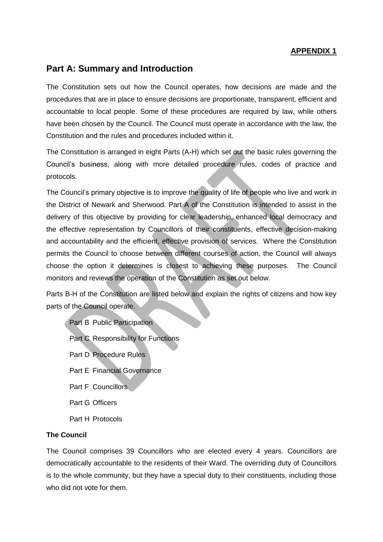## **APPENDIX 1**

# **Part A: Summary and Introduction**

The Constitution sets out how the Council operates, how decisions are made and the procedures that are in place to ensure decisions are proportionate, transparent, efficient and accountable to local people. Some of these procedures are required by law, while others have been chosen by the Council. The Council must operate in accordance with the law, the Constitution and the rules and procedures included within it.

The Constitution is arranged in eight Parts (A-H) which set out the basic rules governing the Council's business, along with more detailed procedure rules, codes of practice and protocols.

The Council's primary objective is to improve the quality of life of people who live and work in the District of Newark and Sherwood. Part A of the Constitution is intended to assist in the delivery of this objective by providing for clear leadership, enhanced local democracy and the effective representation by Councillors of their constituents, effective decision-making and accountability and the efficient, effective provision of services. Where the Constitution permits the Council to choose between different courses of action, the Council will always choose the option it determines is closest to achieving these purposes. The Council monitors and reviews the operation of the Constitution as set out below.

Parts B-H of the Constitution are listed below and explain the rights of citizens and how key parts of the Council operate.

Part B Public Participation Part C Responsibility for Functions Part D Procedure Rules Part E Financial Governance Part F Councillors Part G Officers Part H Protocols

## **The Council**

The Council comprises 39 Councillors who are elected every 4 years. Councillors are democratically accountable to the residents of their Ward. The overriding duty of Councillors is to the whole community, but they have a special duty to their constituents, including those who did not vote for them.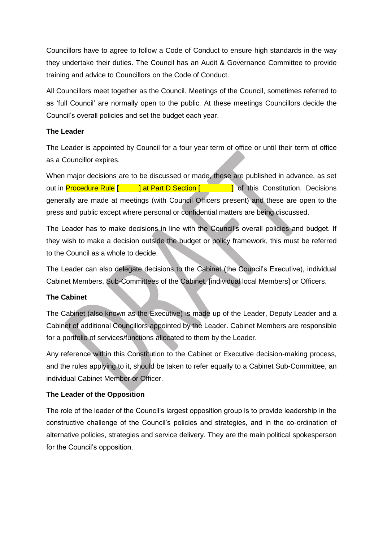Councillors have to agree to follow a Code of Conduct to ensure high standards in the way they undertake their duties. The Council has an Audit & Governance Committee to provide training and advice to Councillors on the Code of Conduct.

All Councillors meet together as the Council. Meetings of the Council, sometimes referred to as 'full Council' are normally open to the public. At these meetings Councillors decide the Council's overall policies and set the budget each year.

# **The Leader**

The Leader is appointed by Council for a four year term of office or until their term of office as a Councillor expires.

When major decisions are to be discussed or made, these are published in advance, as set out in Procedure Rule [ ] at Part D Section [ ] of this Constitution. Decisions generally are made at meetings (with Council Officers present) and these are open to the press and public except where personal or confidential matters are being discussed.

The Leader has to make decisions in line with the Council's overall policies and budget. If they wish to make a decision outside the budget or policy framework, this must be referred to the Council as a whole to decide.

The Leader can also delegate decisions to the Cabinet (the Council's Executive), individual Cabinet Members, Sub-Committees of the Cabinet, [individual local Members] or Officers.

# **The Cabinet**

The Cabinet (also known as the Executive) is made up of the Leader, Deputy Leader and a Cabinet of additional Councillors appointed by the Leader. Cabinet Members are responsible for a portfolio of services/functions allocated to them by the Leader.

Any reference within this Constitution to the Cabinet or Executive decision-making process, and the rules applying to it, should be taken to refer equally to a Cabinet Sub-Committee, an individual Cabinet Member or Officer.

# **The Leader of the Opposition**

The role of the leader of the Council's largest opposition group is to provide leadership in the constructive challenge of the Council's policies and strategies, and in the co-ordination of alternative policies, strategies and service delivery. They are the main political spokesperson for the Council's opposition.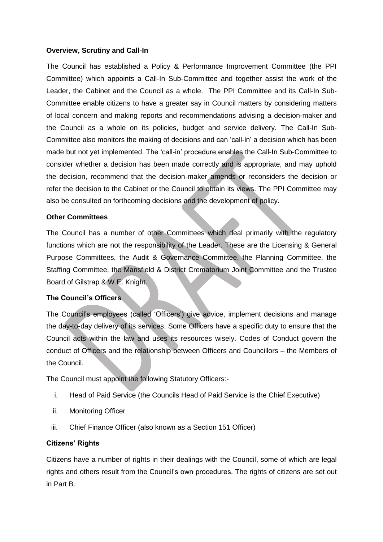#### **Overview, Scrutiny and Call-In**

The Council has established a Policy & Performance Improvement Committee (the PPI Committee) which appoints a Call-In Sub-Committee and together assist the work of the Leader, the Cabinet and the Council as a whole. The PPI Committee and its Call-In Sub-Committee enable citizens to have a greater say in Council matters by considering matters of local concern and making reports and recommendations advising a decision-maker and the Council as a whole on its policies, budget and service delivery. The Call-In Sub-Committee also monitors the making of decisions and can 'call-in' a decision which has been made but not yet implemented. The 'call-in' procedure enables the Call-In Sub-Committee to consider whether a decision has been made correctly and is appropriate, and may uphold the decision, recommend that the decision-maker amends or reconsiders the decision or refer the decision to the Cabinet or the Council to obtain its views. The PPI Committee may also be consulted on forthcoming decisions and the development of policy.

### **Other Committees**

The Council has a number of other Committees which deal primarily with the regulatory functions which are not the responsibility of the Leader. These are the Licensing & General Purpose Committees, the Audit & Governance Committee, the Planning Committee, the Staffing Committee, the Mansfield & District Crematorium Joint Committee and the Trustee Board of Gilstrap & W.E. Knight.

# **The Council's Officers**

The Council's employees (called 'Officers') give advice, implement decisions and manage the day-to-day delivery of its services. Some Officers have a specific duty to ensure that the Council acts within the law and uses its resources wisely. Codes of Conduct govern the conduct of Officers and the relationship between Officers and Councillors – the Members of the Council.

The Council must appoint the following Statutory Officers:-

- i. Head of Paid Service (the Councils Head of Paid Service is the Chief Executive)
- ii. Monitoring Officer
- iii. Chief Finance Officer (also known as a Section 151 Officer)

#### **Citizens' Rights**

Citizens have a number of rights in their dealings with the Council, some of which are legal rights and others result from the Council's own procedures. The rights of citizens are set out in Part B.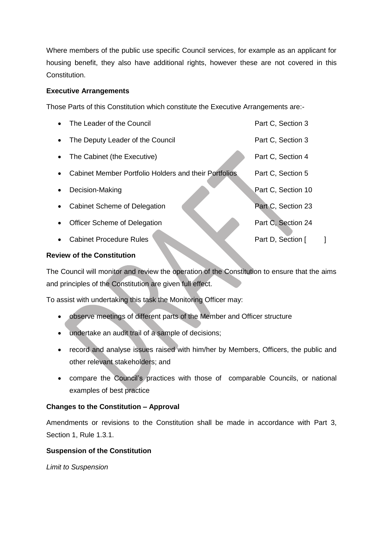Where members of the public use specific Council services, for example as an applicant for housing benefit, they also have additional rights, however these are not covered in this Constitution.

## **Executive Arrangements**

Those Parts of this Constitution which constitute the Executive Arrangements are:-

|           | The Leader of the Council                             | Part C, Section 3  |  |
|-----------|-------------------------------------------------------|--------------------|--|
| $\bullet$ | The Deputy Leader of the Council                      | Part C, Section 3  |  |
| $\bullet$ | The Cabinet (the Executive)                           | Part C, Section 4  |  |
|           | Cabinet Member Portfolio Holders and their Portfolios | Part C, Section 5  |  |
|           | Decision-Making                                       | Part C, Section 10 |  |
|           | Cabinet Scheme of Delegation                          | Part C, Section 23 |  |
| $\bullet$ | Officer Scheme of Delegation                          | Part C, Section 24 |  |
|           | <b>Cabinet Procedure Rules</b>                        | Part D, Section [  |  |

# **Review of the Constitution**

The Council will monitor and review the operation of the Constitution to ensure that the aims and principles of the Constitution are given full effect.

To assist with undertaking this task the Monitoring Officer may:

- observe meetings of different parts of the Member and Officer structure
- undertake an audit trail of a sample of decisions;
- record and analyse issues raised with him/her by Members, Officers, the public and other relevant stakeholders; and
- compare the Council's practices with those of comparable Councils, or national examples of best practice

# **Changes to the Constitution – Approval**

Amendments or revisions to the Constitution shall be made in accordance with Part 3, Section 1, Rule 1.3.1.

# **Suspension of the Constitution**

*Limit to Suspension*